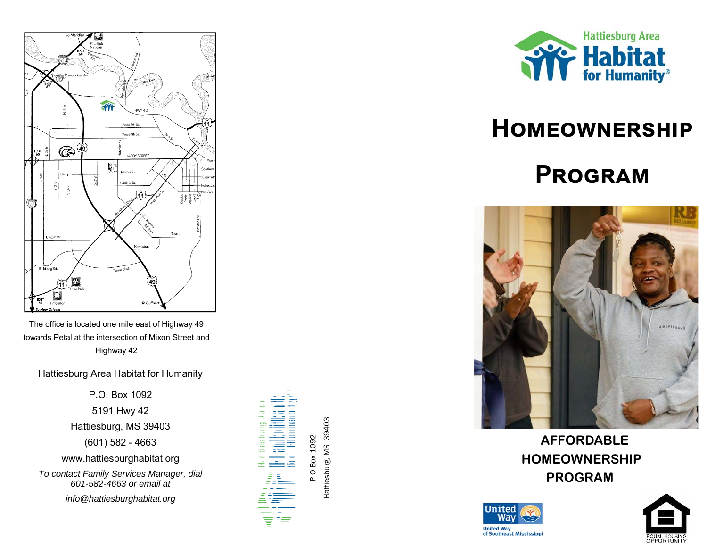

The office is located one mile east of Highway 49 towards Petal at the intersection of Mixon Street and Highway 42

Hattiesburg Area Habitat for Humanity

P.O. Box 1092 5191 Hwy 42 Hattiesburg, MS 39403 (601) 582 - 4663 www.hattiesburghabitat.org

*To contact Family Services Manager, dial 601-582-4663 or email at info@hattiesburghabitat.org*





# **HOMEOWNERSHIP**

# **PROGRAM**



 **AFFORDABLE HOMEOWNERSHIP PROGRAM**